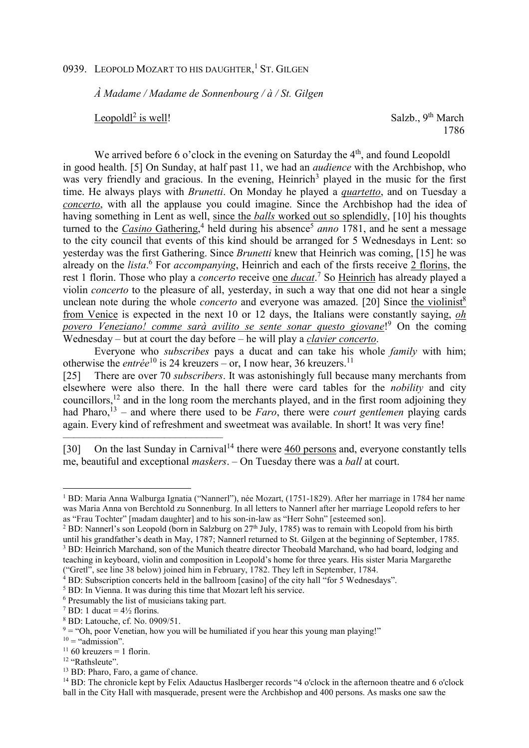## 0939. LEOPOLD MOZART TO HIS DAUGHTER,<sup>1</sup> ST. GILGEN

*À Madame / Madame de Sonnenbourg / à / St. Gilgen*

Leopold $l^2$  is well!

Salzb.,  $9<sup>th</sup> March$ 1786

We arrived before 6 o'clock in the evening on Saturday the  $4<sup>th</sup>$ , and found Leopoldl in good health. [5] On Sunday, at half past 11, we had an *audience* with the Archbishop, who was very friendly and gracious. In the evening, Heinrich<sup>3</sup> played in the music for the first time. He always plays with *Brunetti*. On Monday he played a *quartetto*, and on Tuesday a *concerto*, with all the applause you could imagine. Since the Archbishop had the idea of having something in Lent as well, since the *balls* worked out so splendidly, [10] his thoughts turned to the *Casino* Gathering,<sup>4</sup> held during his absence<sup>5</sup> anno 1781, and he sent a message to the city council that events of this kind should be arranged for 5 Wednesdays in Lent: so yesterday was the first Gathering. Since *Brunetti* knew that Heinrich was coming, [15] he was already on the *lista*.<sup>6</sup> For *accompanying*, Heinrich and each of the firsts receive 2 florins, the rest 1 florin. Those who play a *concerto* receive <u>one *ducat*.</u><sup>7</sup> So Heinrich has already played a violin *concerto* to the pleasure of all, yesterday, in such a way that one did not hear a single unclean note during the whole *concerto* and everyone was amazed. [20] Since the violinist<sup>8</sup> from Venice is expected in the next 10 or 12 days, the Italians were constantly saying, *oh povero Veneziano! comme sarà avilito se sente sonar questo giovane*! 9 On the coming Wednesday – but at court the day before – he will play a *clavier concerto*.

Everyone who *subscribes* pays a ducat and can take his whole *family* with him; otherwise the *entrée*<sup>10</sup> is 24 kreuzers – or, I now hear, 36 kreuzers.<sup>11</sup>

[25] There are over 70 *subscribers*. It was astonishingly full because many merchants from elsewhere were also there. In the hall there were card tables for the *nobility* and city councillors,  $^{12}$  and in the long room the merchants played, and in the first room adjoining they had Pharo,<sup>13</sup> – and where there used to be *Faro*, there were *court gentlemen* playing cards again. Every kind of refreshment and sweetmeat was available. In short! It was very fine!

[30] On the last Sunday in Carnival<sup>14</sup> there were 460 persons and, everyone constantly tells me, beautiful and exceptional *maskers*. – On Tuesday there was a *ball* at court.

––––––––––––––––––––––––––––––

l

<sup>12</sup> "Rathsleute".

<sup>1</sup> BD: Maria Anna Walburga Ignatia ("Nannerl"), née Mozart, (1751-1829). After her marriage in 1784 her name was Maria Anna von Berchtold zu Sonnenburg. In all letters to Nannerl after her marriage Leopold refers to her as "Frau Tochter" [madam daughter] and to his son-in-law as "Herr Sohn" [esteemed son].

<sup>&</sup>lt;sup>2</sup> BD: Nannerl's son Leopold (born in Salzburg on  $27<sup>th</sup>$  July, 1785) was to remain with Leopold from his birth until his grandfather's death in May, 1787; Nannerl returned to St. Gilgen at the beginning of September, 1785. <sup>3</sup> BD: Heinrich Marchand, son of the Munich theatre director Theobald Marchand, who had board, lodging and teaching in keyboard, violin and composition in Leopold's home for three years. His sister Maria Margarethe ("Gretl", see line 38 below) joined him in February, 1782. They left in September, 1784.

<sup>&</sup>lt;sup>4</sup> BD: Subscription concerts held in the ballroom [casino] of the city hall "for 5 Wednesdays".

<sup>&</sup>lt;sup>5</sup> BD: In Vienna. It was during this time that Mozart left his service.

<sup>6</sup> Presumably the list of musicians taking part.

 $^7$  BD: 1 ducat =  $4\frac{1}{2}$  florins.

<sup>8</sup> BD: Latouche, cf. No. 0909/51.

 $9 = "Oh, poor Venetian, how you will be humidised if you hear this young man playing!"$ 

 $10 =$  "admission".

 $11\,60$  kreuzers = 1 florin.

<sup>13</sup> BD: Pharo, Faro, a game of chance.

<sup>&</sup>lt;sup>14</sup> BD: The chronicle kept by Felix Adauctus Haslberger records "4 o'clock in the afternoon theatre and 6 o'clock ball in the City Hall with masquerade, present were the Archbishop and 400 persons. As masks one saw the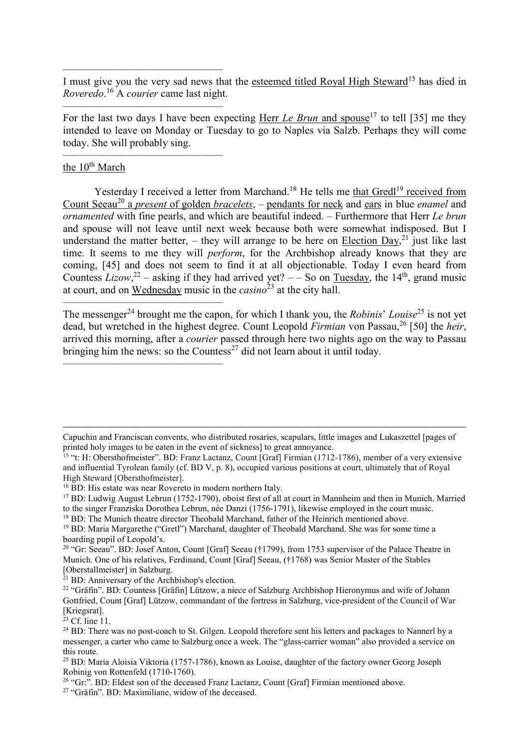–––––––––––––––––––––––––––––– I must give you the very sad news that the esteemed titled Royal High Steward<sup>15</sup> has died in *Roveredo*. <sup>16</sup> A *courier* came last night.

For the last two days I have been expecting Herr *Le Brun* and spouse<sup>17</sup> to tell [35] me they intended to leave on Monday or Tuesday to go to Naples via Salzb. Perhaps they will come today. She will probably sing.

## –––––––––––––––––––––––––––––– the  $10<sup>th</sup>$  March

––––––––––––––––––––––––––––––

Yesterday I received a letter from Marchand.<sup>18</sup> He tells me that Gredl<sup>19</sup> received from Count Seeau<sup>20</sup> a *present* of golden *bracelets*, – pendants for neck and ears in blue *enamel* and *ornamented* with fine pearls, and which are beautiful indeed. – Furthermore that Herr *Le brun* and spouse will not leave until next week because both were somewhat indisposed. But I understand the matter better, – they will arrange to be here on Election Day,<sup>21</sup> just like last time. It seems to me they will *perform*, for the Archbishop already knows that they are coming, [45] and does not seem to find it at all objectionable. Today I even heard from Countess *Lizow*,<sup>22</sup> – asking if they had arrived yet? – – So on <u>Tuesday</u>, the 14<sup>th</sup>, grand music at court, and on Wednesday music in the *casino*<sup>23</sup> at the city hall.

–––––––––––––––––––––––––––––– The messenger<sup>24</sup> brought me the capon, for which I thank you, the *Robinis' Louise*<sup>25</sup> is not yet dead, but wretched in the highest degree. Count Leopold *Firmian* von Passau,<sup>26</sup> [50] the *heir*, arrived this morning, after a *courier* passed through here two nights ago on the way to Passau bringing him the news: so the Countess<sup>27</sup> did not learn about it until today.

<sup>18</sup> BD: The Munich theatre director Theobald Marchand, father of the Heinrich mentioned above.

––––––––––––––––––––––––––––––

 $\overline{a}$ 

Capuchin and Franciscan convents, who distributed rosaries, scapulars, little images and Lukaszettel [pages of printed holy images to be eaten in the event of sickness] to great annoyance.

<sup>&</sup>lt;sup>15</sup> "t: H: Obersthofmeister". BD: Franz Lactanz, Count [Graf] Firmian (1712-1786), member of a very extensive and influential Tyrolean family (cf. BD V, p. 8), occupied various positions at court, ultimately that of Royal High Steward [Obersthofmeister].

<sup>&</sup>lt;sup>16</sup> BD: His estate was near Rovereto in modern northern Italy.

<sup>&</sup>lt;sup>17</sup> BD: Ludwig August Lebrun (1752-1790), oboist first of all at court in Mannheim and then in Munich. Married to the singer Franziska Dorothea Lebrun, née Danzi (1756-1791), likewise employed in the court music.

<sup>&</sup>lt;sup>19</sup> BD: Maria Margarethe ("Gretl") Marchand, daughter of Theobald Marchand. She was for some time a boarding pupil of Leopold's.

<sup>&</sup>lt;sup>20</sup> "Gr: Seeau". BD: Josef Anton, Count [Graf] Seeau (†1799), from 1753 supervisor of the Palace Theatre in Munich. One of his relatives, Ferdinand, Count [Graf] Seeau, (†1768) was Senior Master of the Stables [Oberstallmeister] in Salzburg.

 $^{21}$  BD: Anniversary of the Archbishop's election.

<sup>&</sup>lt;sup>22</sup> "Gräfin". BD: Countess [Gräfin] Lützow, a niece of Salzburg Archbishop Hieronymus and wife of Johann Gottfried, Count [Graf] Lützow, commandant of the fortress in Salzburg, vice-president of the Council of War [Kriegsrat].

 $23$  Cf. line 11.

<sup>&</sup>lt;sup>24</sup> BD: There was no post-coach to St. Gilgen. Leopold therefore sent his letters and packages to Nannerl by a messenger, a carter who came to Salzburg once a week. The "glass-carrier woman" also provided a service on this route.

<sup>25</sup> BD: Maria Aloisia Viktoria (1757-1786), known as Louise, daughter of the factory owner Georg Joseph Robinig von Rottenfeld (1710-1760).

<sup>&</sup>lt;sup>26</sup> "Gr:". BD: Eldest son of the deceased Franz Lactanz, Count [Graf] Firmian mentioned above.

<sup>27</sup> "Gräfin". BD: Maximiliane, widow of the deceased.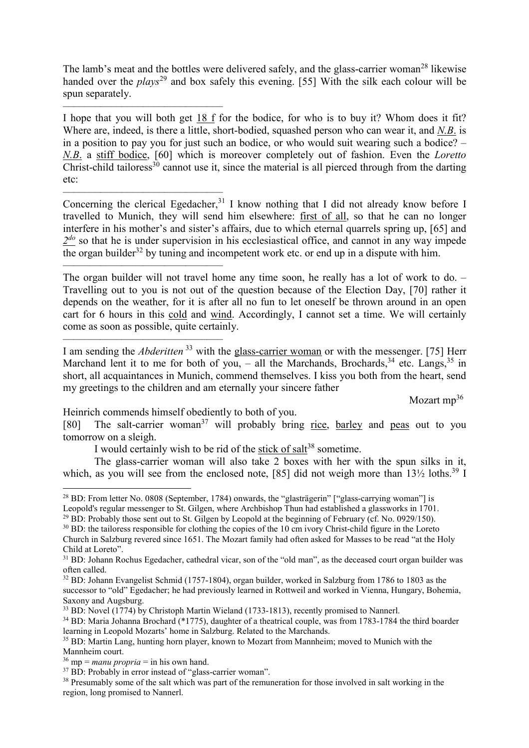The lamb's meat and the bottles were delivered safely, and the glass-carrier woman<sup>28</sup> likewise handed over the *plays*<sup>29</sup> and box safely this evening. [55] With the silk each colour will be spun separately.

–––––––––––––––––––––––––––––– I hope that you will both get 18 f for the bodice, for who is to buy it? Whom does it fit? Where are, indeed, is there a little, short-bodied, squashed person who can wear it, and *N.B*. is in a position to pay you for just such an bodice, or who would suit wearing such a bodice? – *N.B*. a stiff bodice, [60] which is moreover completely out of fashion. Even the *Loretto* Christ-child tailoress<sup>30</sup> cannot use it, since the material is all pierced through from the darting etc:

–––––––––––––––––––––––––––––– Concerning the clerical Egedacher,  $31$  I know nothing that I did not already know before I travelled to Munich, they will send him elsewhere: first of all, so that he can no longer interfere in his mother's and sister's affairs, due to which eternal quarrels spring up, [65] and 2<sup>do</sup> so that he is under supervision in his ecclesiastical office, and cannot in any way impede the organ builder<sup>32</sup> by tuning and incompetent work etc. or end up in a dispute with him.

The organ builder will not travel home any time soon, he really has a lot of work to do. – Travelling out to you is not out of the question because of the Election Day, [70] rather it depends on the weather, for it is after all no fun to let oneself be thrown around in an open cart for 6 hours in this cold and wind. Accordingly, I cannot set a time. We will certainly come as soon as possible, quite certainly.

–––––––––––––––––––––––––––––– I am sending the *Abderitten*<sup>33</sup> with the **glass-carrier woman** or with the messenger. [75] Herr Marchand lent it to me for both of you, – all the Marchands, Brochards,  $3^4$  etc. Langs,  $3^5$  in short, all acquaintances in Munich, commend themselves. I kiss you both from the heart, send my greetings to the children and am eternally your sincere father

Mozart  $mp^{36}$ 

Heinrich commends himself obediently to both of you.

––––––––––––––––––––––––––––––

[80] The salt-carrier woman<sup>37</sup> will probably bring rice, barley and peas out to you tomorrow on a sleigh.

I would certainly wish to be rid of the stick of salt<sup>38</sup> sometime.

The glass-carrier woman will also take 2 boxes with her with the spun silks in it, which, as you will see from the enclosed note, [85] did not weigh more than  $13\frac{1}{2}$  loths.<sup>39</sup> I

l

<sup>&</sup>lt;sup>28</sup> BD: From letter No. 0808 (September, 1784) onwards, the "glasträgerin" ["glass-carrying woman"] is Leopold's regular messenger to St. Gilgen, where Archbishop Thun had established a glassworks in 1701.

<sup>&</sup>lt;sup>29</sup> BD: Probably those sent out to St. Gilgen by Leopold at the beginning of February (cf. No. 0929/150).

<sup>&</sup>lt;sup>30</sup> BD: the tailoress responsible for clothing the copies of the 10 cm ivory Christ-child figure in the Loreto Church in Salzburg revered since 1651. The Mozart family had often asked for Masses to be read "at the Holy Child at Loreto".

<sup>&</sup>lt;sup>31</sup> BD: Johann Rochus Egedacher, cathedral vicar, son of the "old man", as the deceased court organ builder was often called.

<sup>&</sup>lt;sup>32</sup> BD: Johann Evangelist Schmid (1757-1804), organ builder, worked in Salzburg from 1786 to 1803 as the successor to "old" Egedacher; he had previously learned in Rottweil and worked in Vienna, Hungary, Bohemia, Saxony and Augsburg.

<sup>&</sup>lt;sup>33</sup> BD: Novel (1774) by Christoph Martin Wieland (1733-1813), recently promised to Nannerl.

<sup>34</sup> BD: Maria Johanna Brochard (\*1775), daughter of a theatrical couple, was from 1783-1784 the third boarder learning in Leopold Mozarts' home in Salzburg. Related to the Marchands.

<sup>&</sup>lt;sup>35</sup> BD: Martin Lang, hunting horn player, known to Mozart from Mannheim; moved to Munich with the Mannheim court.

 $36 \text{ mp} = \text{manu propria} = \text{in his own hand}.$ 

<sup>&</sup>lt;sup>37</sup> BD: Probably in error instead of "glass-carrier woman".

<sup>&</sup>lt;sup>38</sup> Presumably some of the salt which was part of the remuneration for those involved in salt working in the region, long promised to Nannerl.